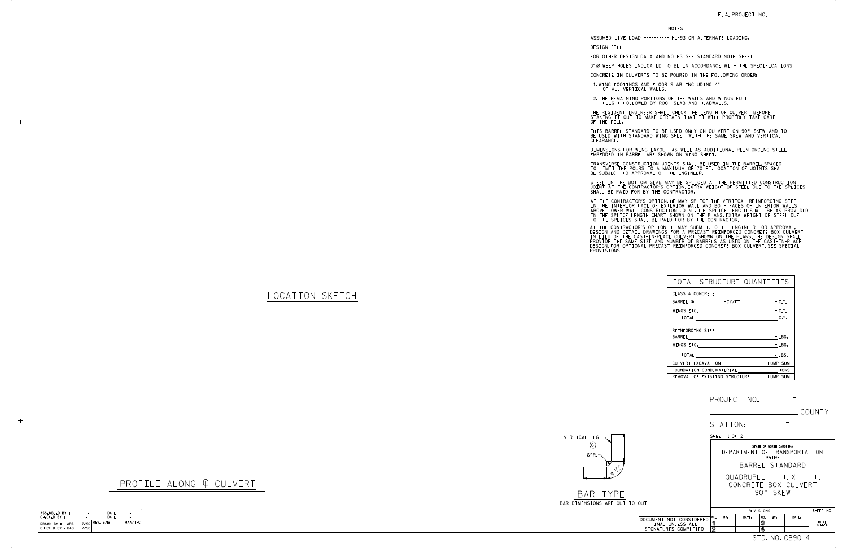BAR TYPE BAR DIMENSIONS ARE OUT

VERTICAL LEG 6" R. 6 ን  $\setminus \!\! \stackrel{_{\ast}}{\mathcal{E}}$ 

LOCATION SKETCH

 $+$ 

 $+$ 

## F. A. PROJECT NO.

PROFILE ALONG  $C$  CULVERT

|                                                                     | COUNTY                                                                                           |  |  |  |  |  |  |
|---------------------------------------------------------------------|--------------------------------------------------------------------------------------------------|--|--|--|--|--|--|
|                                                                     | STATION:                                                                                         |  |  |  |  |  |  |
| SHEET 1 OF 2                                                        |                                                                                                  |  |  |  |  |  |  |
|                                                                     | STATE OF NORTH CAROLINA<br>DEPARTMENT OF TRANSPORTATION<br>RALEIGH                               |  |  |  |  |  |  |
|                                                                     | BARREL STANDARD                                                                                  |  |  |  |  |  |  |
|                                                                     | QUADRUPLE FT.X FT.<br>CONCRETE BOX CULVERT<br>90° SKFW                                           |  |  |  |  |  |  |
| TO OUT                                                              |                                                                                                  |  |  |  |  |  |  |
|                                                                     | SHEET NO.<br>REVISIONS                                                                           |  |  |  |  |  |  |
| DOCUMENT NOT CONSIDERED<br>FINAL UNLESS ALL<br>SIGNATURES COMPLETED | NO.<br>BY:<br>DATE:<br>NO.<br>DATE:<br>RY:<br>මූ<br>ิจ<br>TOTAL<br>SHEETS<br>$\overline{2}$<br>4 |  |  |  |  |  |  |
|                                                                     | STD. NO. CB90 <sub>-</sub> 4                                                                     |  |  |  |  |  |  |

STEEL IN THE BOTTOM SLAB MAY BE SPLICED AT THE PERMITTED CONSTRUCTION JOINT AT THE CONTRACTOR'S OPTION.EXTRA WEIGHT OF STEEL DUE TO THE SPLICES<br>SHALL BE PAID FOR BY THE CONTRACTOR.

NOTES

DESIGN FILL-----------------

FOR OTHER DESIGN DATA AND NOTES SEE STANDARD NOTE SHEET.

3" Ø WEEP HOLES INDICATED TO BE IN ACCORDANCE WITH THE SPECIFICATIONS.

CONCRETE IN CULVERTS TO BE POURED IN THE FOLLOWING ORDER:

1.WING FOOTINGS AND FLOOR SLAB INCLUDING 4"<br>OF ALL VERTICAL WALLS.

2.THE REMAINING PORTIONS OF THE WALLS AND WINGS FULL<br>HEIGHT FOLLOWED BY ROOF SLAB AND HEADWALLS.

THE RESIDENT ENGINEER SHALL CHECK THE LENGTH OF CULVERT BEFORE<br>STAKING IT OUT TO MAKE CERTAIN THAT IT WILL PROPERLY TAKE CARE<br>OF THE FILL.

IN THE INTERIOR FACE OF EXTERIOR WALL AND BOTH FACES OF INTERIOR WALLS<br>ABOVE LOWER WALL CONSTRUCTION JOINT THE SPLICE LENGTH SHALL BE AS PROVIDED<br>IN THE SPLICE LENGTH CHART SHOWN ON THE PLANS EXTRA WEIGHT OF STEEL DUE<br>TO T AT THE CONTRACTOR'S OPTION, HE MAY SPLICE THE VERTICAL REINFORCING STEEL

AT THE CONTRACTOR'S OPTION HE MAY SUBMIT, TO THE ENGINEER FOR APPROVAL,<br>DESIGN AND DETAIL DRAWINGS FOR A PRECAST REINFORCED CONCRETE BOX CULVERT<br>IN LIEU OF THE CAST-IN-PLACE CULVERT SHOWN ON THE PLANS.THE DESIGN SHALL<br>PROV

BE USED WITH STANDARD WING SHEET WITH THE SAME SKEW AND VERTICAL CLEARANCE. THIS BARREL STANDARD TO BE USED ONLY ON CULVERT ON 90° SKEW AND TO

DIMENSIONS FOR WING LAYOUT AS WELL AS ADDITIONAL REINFORCING STEEL<br>EMBEDDED IN BARREL ARE SHOWN ON WING SHEET.

TRANSVERSE CONSTRUCTION JOINTS SHALL BE USED IN THE BARREL,SPACED<br>TO LIMIT THE POURS TO A MAXIMUM OF 70 FT.LOCATION OF JOINTS SHALL<br>BE SUBJECT TO APPROVAL OF THE ENGINEER.

| TOTAL STRUCTURE QUANTITIES     |          |
|--------------------------------|----------|
| CLASS A CONCRETE               |          |
| BARREL @ CY/FT - C.Y.          |          |
|                                | $-C.Y.$  |
|                                |          |
| REINFORCING STEEL              |          |
|                                | $-LBS.$  |
|                                | - LBS.   |
| TOTAL <u>________</u>          | - LBS.   |
| CULVERT EXCAVATION             | LUMP SUM |
| FOUNDATION COND. MATERIAL TONS |          |
| REMOVAL OF EXISTING STRUCTURE  | LUMP SUM |

ASSUMED LIVE LOAD ---------- HL-93 OR ALTERNATE LOADING.